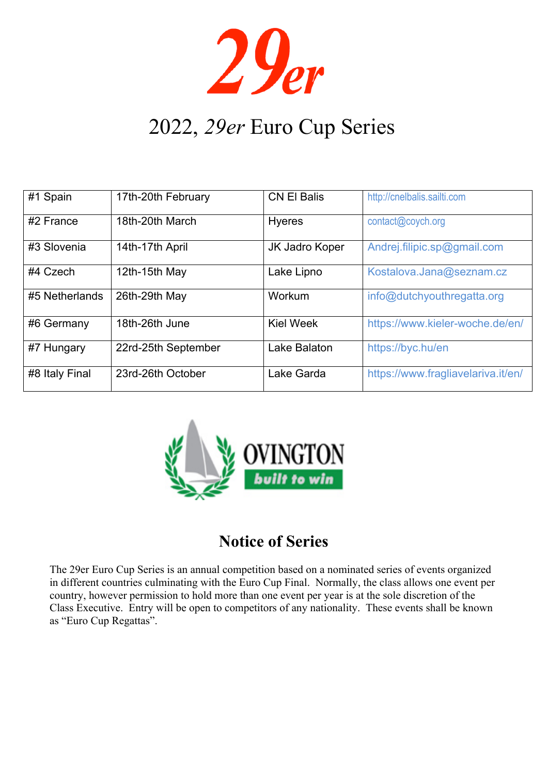$29<sub>er</sub>$ 

# 2022, *29er* Euro Cup Series

| #1 Spain       | 17th-20th February  | <b>CN El Balis</b> | http://cnelbalis.sailti.com        |
|----------------|---------------------|--------------------|------------------------------------|
| #2 France      | 18th-20th March     | <b>Hyeres</b>      | contact@coych.org                  |
| #3 Slovenia    | 14th-17th April     | JK Jadro Koper     | Andrej.filipic.sp@gmail.com        |
| #4 Czech       | 12th-15th May       | Lake Lipno         | Kostalova.Jana@seznam.cz           |
| #5 Netherlands | 26th-29th May       | Workum             | info@dutchyouthregatta.org         |
| #6 Germany     | 18th-26th June      | <b>Kiel Week</b>   | https://www.kieler-woche.de/en/    |
| #7 Hungary     | 22rd-25th September | Lake Balaton       | https://byc.hu/en                  |
| #8 Italy Final | 23rd-26th October   | Lake Garda         | https://www.fragliavelariva.it/en/ |



# **Notice of Series**

The 29er Euro Cup Series is an annual competition based on a nominated series of events organized in different countries culminating with the Euro Cup Final. Normally, the class allows one event per country, however permission to hold more than one event per year is at the sole discretion of the Class Executive. Entry will be open to competitors of any nationality. These events shall be known as "Euro Cup Regattas".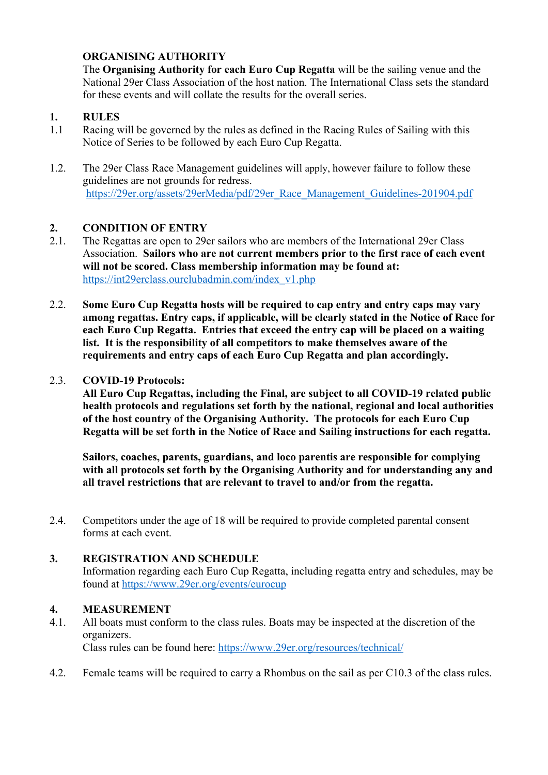# **ORGANISING AUTHORITY**

The **Organising Authority for each Euro Cup Regatta** will be the sailing venue and the National 29er Class Association of the host nation. The International Class sets the standard for these events and will collate the results for the overall series.

#### **1. RULES**

- 1.1 Racing will be governed by the rules as defined in the Racing Rules of Sailing with this Notice of Series to be followed by each Euro Cup Regatta.
- 1.2. The 29er Class Race Management guidelines will apply, however failure to follow these guidelines are not grounds for redress. https://29er.org/assets/29erMedia/pdf/29er\_Race\_Management\_Guidelines-201904.pdf

#### **2. CONDITION OF ENTRY**

- 2.1. The Regattas are open to 29er sailors who are members of the International 29er Class Association. **Sailors who are not current members prior to the first race of each event will not be scored. Class membership information may be found at:** https://int29erclass.ourclubadmin.com/index\_v1.php
- 2.2. **Some Euro Cup Regatta hosts will be required to cap entry and entry caps may vary among regattas. Entry caps, if applicable, will be clearly stated in the Notice of Race for each Euro Cup Regatta. Entries that exceed the entry cap will be placed on a waiting list. It is the responsibility of all competitors to make themselves aware of the requirements and entry caps of each Euro Cup Regatta and plan accordingly.**

#### 2.3. **COVID-19 Protocols:**

**All Euro Cup Regattas, including the Final, are subject to all COVID-19 related public health protocols and regulations set forth by the national, regional and local authorities of the host country of the Organising Authority. The protocols for each Euro Cup Regatta will be set forth in the Notice of Race and Sailing instructions for each regatta.** 

**Sailors, coaches, parents, guardians, and loco parentis are responsible for complying with all protocols set forth by the Organising Authority and for understanding any and all travel restrictions that are relevant to travel to and/or from the regatta.**

2.4. Competitors under the age of 18 will be required to provide completed parental consent forms at each event.

#### **3. REGISTRATION AND SCHEDULE**

Information regarding each Euro Cup Regatta, including regatta entry and schedules, may be found at https://www.29er.org/events/eurocup

#### **4. MEASUREMENT**

4.1. All boats must conform to the class rules. Boats may be inspected at the discretion of the organizers.

Class rules can be found here: https://www.29er.org/resources/technical/

4.2. Female teams will be required to carry a Rhombus on the sail as per C10.3 of the class rules.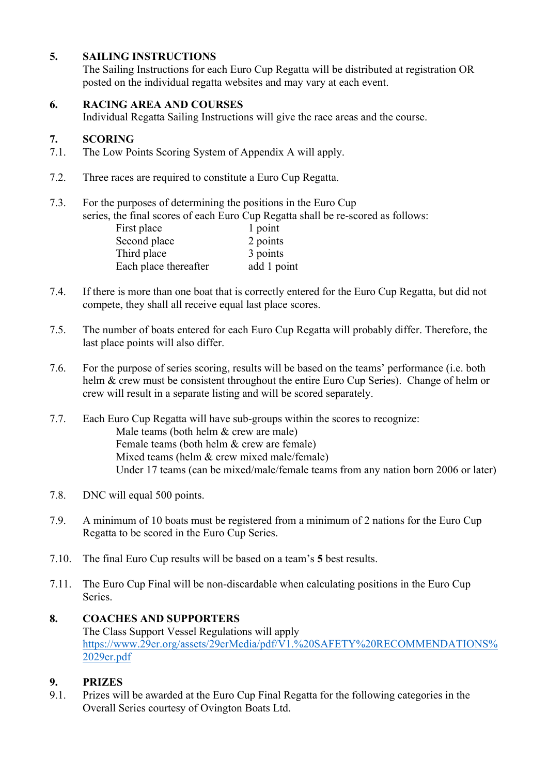# **5. SAILING INSTRUCTIONS**

The Sailing Instructions for each Euro Cup Regatta will be distributed at registration OR posted on the individual regatta websites and may vary at each event.

#### **6. RACING AREA AND COURSES**

Individual Regatta Sailing Instructions will give the race areas and the course.

#### **7. SCORING**

- 7.1. The Low Points Scoring System of Appendix A will apply.
- 7.2. Three races are required to constitute a Euro Cup Regatta.
- 7.3. For the purposes of determining the positions in the Euro Cup

series, the final scores of each Euro Cup Regatta shall be re-scored as follows:

| First place           | 1 point     |
|-----------------------|-------------|
| Second place          | 2 points    |
| Third place           | 3 points    |
| Each place thereafter | add 1 point |

- 7.4. If there is more than one boat that is correctly entered for the Euro Cup Regatta, but did not compete, they shall all receive equal last place scores.
- 7.5. The number of boats entered for each Euro Cup Regatta will probably differ. Therefore, the last place points will also differ.
- 7.6. For the purpose of series scoring, results will be based on the teams' performance (i.e. both helm & crew must be consistent throughout the entire Euro Cup Series). Change of helm or crew will result in a separate listing and will be scored separately.
- 7.7. Each Euro Cup Regatta will have sub-groups within the scores to recognize: Male teams (both helm & crew are male) Female teams (both helm & crew are female) Mixed teams (helm & crew mixed male/female) Under 17 teams (can be mixed/male/female teams from any nation born 2006 or later)
- 7.8. DNC will equal 500 points.
- 7.9. A minimum of 10 boats must be registered from a minimum of 2 nations for the Euro Cup Regatta to be scored in the Euro Cup Series.
- 7.10. The final Euro Cup results will be based on a team's **5** best results.
- 7.11. The Euro Cup Final will be non-discardable when calculating positions in the Euro Cup Series.

# **8. COACHES AND SUPPORTERS** The Class Support Vessel Regulations will apply https://www.29er.org/assets/29erMedia/pdf/V1.%20SAFETY%20RECOMMENDATIONS% 2029er.pdf

# **9. PRIZES**

9.1. Prizes will be awarded at the Euro Cup Final Regatta for the following categories in the Overall Series courtesy of Ovington Boats Ltd.